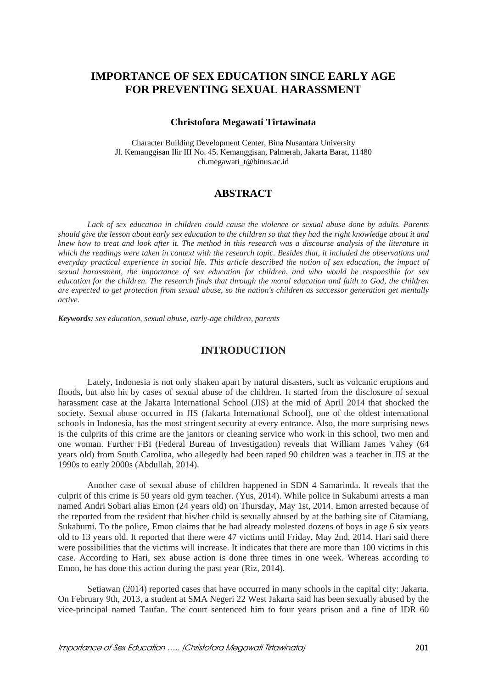# **IMPORTANCE OF SEX EDUCATION SINCE EARLY AGE FOR PREVENTING SEXUAL HARASSMENT**

#### **Christofora Megawati Tirtawinata**

Character Building Development Center, Bina Nusantara University Jl. Kemanggisan Ilir III No. 45. Kemanggisan, Palmerah, Jakarta Barat, 11480 ch.megawati\_t@binus.ac.id

## **ABSTRACT**

*Lack of sex education in children could cause the violence or sexual abuse done by adults. Parents should give the lesson about early sex education to the children so that they had the right knowledge about it and knew how to treat and look after it. The method in this research was a discourse analysis of the literature in which the readings were taken in context with the research topic. Besides that, it included the observations and everyday practical experience in social life. This article described the notion of sex education, the impact of sexual harassment, the importance of sex education for children, and who would be responsible for sex education for the children. The research finds that through the moral education and faith to God, the children are expected to get protection from sexual abuse, so the nation's children as successor generation get mentally active.* 

*Keywords: sex education, sexual abuse, early-age children, parents* 

### **INTRODUCTION**

Lately, Indonesia is not only shaken apart by natural disasters, such as volcanic eruptions and floods, but also hit by cases of sexual abuse of the children. It started from the disclosure of sexual harassment case at the Jakarta International School (JIS) at the mid of April 2014 that shocked the society. Sexual abuse occurred in JIS (Jakarta International School), one of the oldest international schools in Indonesia, has the most stringent security at every entrance. Also, the more surprising news is the culprits of this crime are the janitors or cleaning service who work in this school, two men and one woman. Further FBI (Federal Bureau of Investigation) reveals that William James Vahey (64 years old) from South Carolina, who allegedly had been raped 90 children was a teacher in JIS at the 1990s to early 2000s (Abdullah, 2014).

Another case of sexual abuse of children happened in SDN 4 Samarinda. It reveals that the culprit of this crime is 50 years old gym teacher. (Yus, 2014). While police in Sukabumi arrests a man named Andri Sobari alias Emon (24 years old) on Thursday, May 1st, 2014. Emon arrested because of the reported from the resident that his/her child is sexually abused by at the bathing site of Citamiang, Sukabumi. To the police, Emon claims that he had already molested dozens of boys in age 6 six years old to 13 years old. It reported that there were 47 victims until Friday, May 2nd, 2014. Hari said there were possibilities that the victims will increase. It indicates that there are more than 100 victims in this case. According to Hari, sex abuse action is done three times in one week. Whereas according to Emon, he has done this action during the past year (Riz, 2014).

Setiawan (2014) reported cases that have occurred in many schools in the capital city: Jakarta. On February 9th, 2013, a student at SMA Negeri 22 West Jakarta said has been sexually abused by the vice-principal named Taufan. The court sentenced him to four years prison and a fine of IDR 60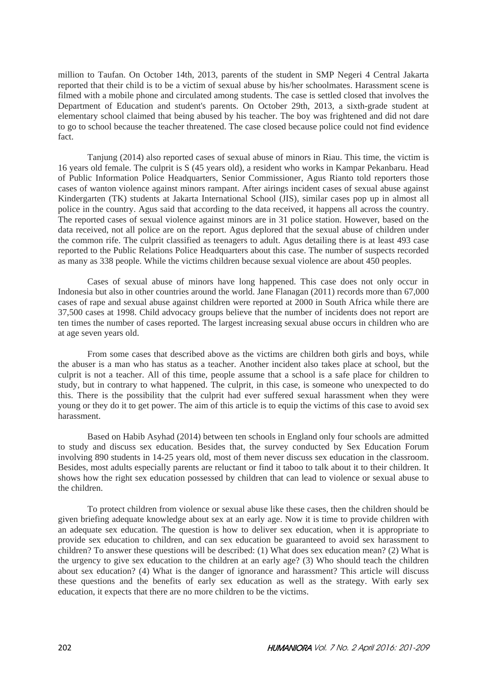million to Taufan. On October 14th, 2013, parents of the student in SMP Negeri 4 Central Jakarta reported that their child is to be a victim of sexual abuse by his/her schoolmates. Harassment scene is filmed with a mobile phone and circulated among students. The case is settled closed that involves the Department of Education and student's parents. On October 29th, 2013, a sixth-grade student at elementary school claimed that being abused by his teacher. The boy was frightened and did not dare to go to school because the teacher threatened. The case closed because police could not find evidence fact.

Tanjung (2014) also reported cases of sexual abuse of minors in Riau. This time, the victim is 16 years old female. The culprit is S (45 years old), a resident who works in Kampar Pekanbaru. Head of Public Information Police Headquarters, Senior Commissioner, Agus Rianto told reporters those cases of wanton violence against minors rampant. After airings incident cases of sexual abuse against Kindergarten (TK) students at Jakarta International School (JIS), similar cases pop up in almost all police in the country. Agus said that according to the data received, it happens all across the country. The reported cases of sexual violence against minors are in 31 police station. However, based on the data received, not all police are on the report. Agus deplored that the sexual abuse of children under the common rife. The culprit classified as teenagers to adult. Agus detailing there is at least 493 case reported to the Public Relations Police Headquarters about this case. The number of suspects recorded as many as 338 people. While the victims children because sexual violence are about 450 peoples.

Cases of sexual abuse of minors have long happened. This case does not only occur in Indonesia but also in other countries around the world. Jane Flanagan (2011) records more than 67,000 cases of rape and sexual abuse against children were reported at 2000 in South Africa while there are 37,500 cases at 1998. Child advocacy groups believe that the number of incidents does not report are ten times the number of cases reported. The largest increasing sexual abuse occurs in children who are at age seven years old.

From some cases that described above as the victims are children both girls and boys, while the abuser is a man who has status as a teacher. Another incident also takes place at school, but the culprit is not a teacher. All of this time, people assume that a school is a safe place for children to study, but in contrary to what happened. The culprit, in this case, is someone who unexpected to do this. There is the possibility that the culprit had ever suffered sexual harassment when they were young or they do it to get power. The aim of this article is to equip the victims of this case to avoid sex harassment.

Based on Habib Asyhad (2014) between ten schools in England only four schools are admitted to study and discuss sex education. Besides that, the survey conducted by Sex Education Forum involving 890 students in 14-25 years old, most of them never discuss sex education in the classroom. Besides, most adults especially parents are reluctant or find it taboo to talk about it to their children. It shows how the right sex education possessed by children that can lead to violence or sexual abuse to the children.

To protect children from violence or sexual abuse like these cases, then the children should be given briefing adequate knowledge about sex at an early age. Now it is time to provide children with an adequate sex education. The question is how to deliver sex education, when it is appropriate to provide sex education to children, and can sex education be guaranteed to avoid sex harassment to children? To answer these questions will be described: (1) What does sex education mean? (2) What is the urgency to give sex education to the children at an early age? (3) Who should teach the children about sex education? (4) What is the danger of ignorance and harassment? This article will discuss these questions and the benefits of early sex education as well as the strategy. With early sex education, it expects that there are no more children to be the victims.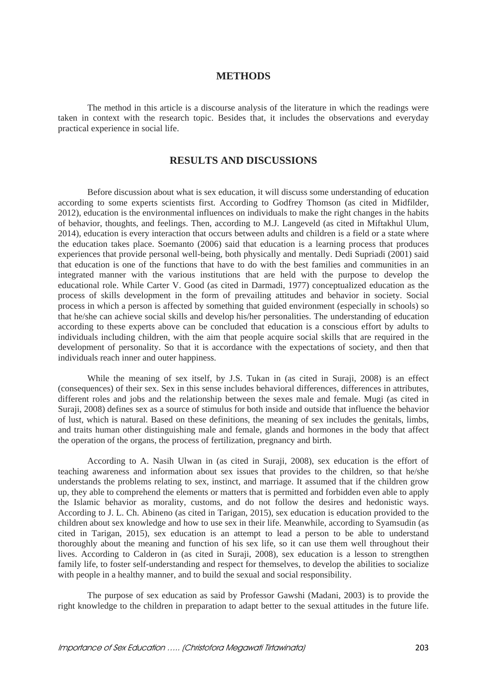### **METHODS**

The method in this article is a discourse analysis of the literature in which the readings were taken in context with the research topic. Besides that, it includes the observations and everyday practical experience in social life.

# **RESULTS AND DISCUSSIONS**

Before discussion about what is sex education, it will discuss some understanding of education according to some experts scientists first. According to Godfrey Thomson (as cited in Midfilder, 2012), education is the environmental influences on individuals to make the right changes in the habits of behavior, thoughts, and feelings. Then, according to M.J. Langeveld (as cited in Miftakhul Ulum, 2014), education is every interaction that occurs between adults and children is a field or a state where the education takes place. Soemanto (2006) said that education is a learning process that produces experiences that provide personal well-being, both physically and mentally. Dedi Supriadi (2001) said that education is one of the functions that have to do with the best families and communities in an integrated manner with the various institutions that are held with the purpose to develop the educational role. While Carter V. Good (as cited in Darmadi, 1977) conceptualized education as the process of skills development in the form of prevailing attitudes and behavior in society. Social process in which a person is affected by something that guided environment (especially in schools) so that he/she can achieve social skills and develop his/her personalities. The understanding of education according to these experts above can be concluded that education is a conscious effort by adults to individuals including children, with the aim that people acquire social skills that are required in the development of personality. So that it is accordance with the expectations of society, and then that individuals reach inner and outer happiness.

While the meaning of sex itself, by J.S. Tukan in (as cited in Suraji, 2008) is an effect (consequences) of their sex. Sex in this sense includes behavioral differences, differences in attributes, different roles and jobs and the relationship between the sexes male and female. Mugi (as cited in Suraji, 2008) defines sex as a source of stimulus for both inside and outside that influence the behavior of lust, which is natural. Based on these definitions, the meaning of sex includes the genitals, limbs, and traits human other distinguishing male and female, glands and hormones in the body that affect the operation of the organs, the process of fertilization, pregnancy and birth.

According to A. Nasih Ulwan in (as cited in Suraji, 2008), sex education is the effort of teaching awareness and information about sex issues that provides to the children, so that he/she understands the problems relating to sex, instinct, and marriage. It assumed that if the children grow up, they able to comprehend the elements or matters that is permitted and forbidden even able to apply the Islamic behavior as morality, customs, and do not follow the desires and hedonistic ways. According to J. L. Ch. Abineno (as cited in Tarigan, 2015), sex education is education provided to the children about sex knowledge and how to use sex in their life. Meanwhile, according to Syamsudin (as cited in Tarigan, 2015), sex education is an attempt to lead a person to be able to understand thoroughly about the meaning and function of his sex life, so it can use them well throughout their lives. According to Calderon in (as cited in Suraji, 2008), sex education is a lesson to strengthen family life, to foster self-understanding and respect for themselves, to develop the abilities to socialize with people in a healthy manner, and to build the sexual and social responsibility.

The purpose of sex education as said by Professor Gawshi (Madani, 2003) is to provide the right knowledge to the children in preparation to adapt better to the sexual attitudes in the future life.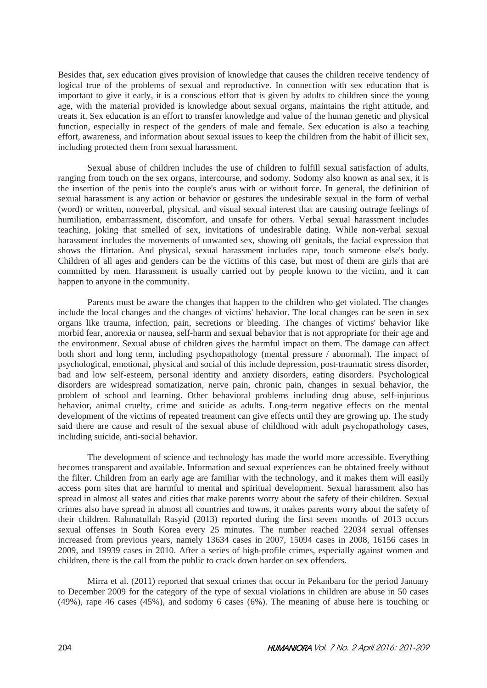Besides that, sex education gives provision of knowledge that causes the children receive tendency of logical true of the problems of sexual and reproductive. In connection with sex education that is important to give it early, it is a conscious effort that is given by adults to children since the young age, with the material provided is knowledge about sexual organs, maintains the right attitude, and treats it. Sex education is an effort to transfer knowledge and value of the human genetic and physical function, especially in respect of the genders of male and female. Sex education is also a teaching effort, awareness, and information about sexual issues to keep the children from the habit of illicit sex, including protected them from sexual harassment.

Sexual abuse of children includes the use of children to fulfill sexual satisfaction of adults, ranging from touch on the sex organs, intercourse, and sodomy. Sodomy also known as anal sex, it is the insertion of the penis into the couple's anus with or without force. In general, the definition of sexual harassment is any action or behavior or gestures the undesirable sexual in the form of verbal (word) or written, nonverbal, physical, and visual sexual interest that are causing outrage feelings of humiliation, embarrassment, discomfort, and unsafe for others. Verbal sexual harassment includes teaching, joking that smelled of sex, invitations of undesirable dating. While non-verbal sexual harassment includes the movements of unwanted sex, showing off genitals, the facial expression that shows the flirtation. And physical, sexual harassment includes rape, touch someone else's body. Children of all ages and genders can be the victims of this case, but most of them are girls that are committed by men. Harassment is usually carried out by people known to the victim, and it can happen to anyone in the community.

Parents must be aware the changes that happen to the children who get violated. The changes include the local changes and the changes of victims' behavior. The local changes can be seen in sex organs like trauma, infection, pain, secretions or bleeding. The changes of victims' behavior like morbid fear, anorexia or nausea, self-harm and sexual behavior that is not appropriate for their age and the environment. Sexual abuse of children gives the harmful impact on them. The damage can affect both short and long term, including psychopathology (mental pressure / abnormal). The impact of psychological, emotional, physical and social of this include depression, post-traumatic stress disorder, bad and low self-esteem, personal identity and anxiety disorders, eating disorders. Psychological disorders are widespread somatization, nerve pain, chronic pain, changes in sexual behavior, the problem of school and learning. Other behavioral problems including drug abuse, self-injurious behavior, animal cruelty, crime and suicide as adults. Long-term negative effects on the mental development of the victims of repeated treatment can give effects until they are growing up. The study said there are cause and result of the sexual abuse of childhood with adult psychopathology cases, including suicide, anti-social behavior.

The development of science and technology has made the world more accessible. Everything becomes transparent and available. Information and sexual experiences can be obtained freely without the filter. Children from an early age are familiar with the technology, and it makes them will easily access porn sites that are harmful to mental and spiritual development. Sexual harassment also has spread in almost all states and cities that make parents worry about the safety of their children. Sexual crimes also have spread in almost all countries and towns, it makes parents worry about the safety of their children. Rahmatullah Rasyid (2013) reported during the first seven months of 2013 occurs sexual offenses in South Korea every 25 minutes. The number reached 22034 sexual offenses increased from previous years, namely 13634 cases in 2007, 15094 cases in 2008, 16156 cases in 2009, and 19939 cases in 2010. After a series of high-profile crimes, especially against women and children, there is the call from the public to crack down harder on sex offenders.

Mirra et al. (2011) reported that sexual crimes that occur in Pekanbaru for the period January to December 2009 for the category of the type of sexual violations in children are abuse in 50 cases (49%), rape 46 cases (45%), and sodomy 6 cases (6%). The meaning of abuse here is touching or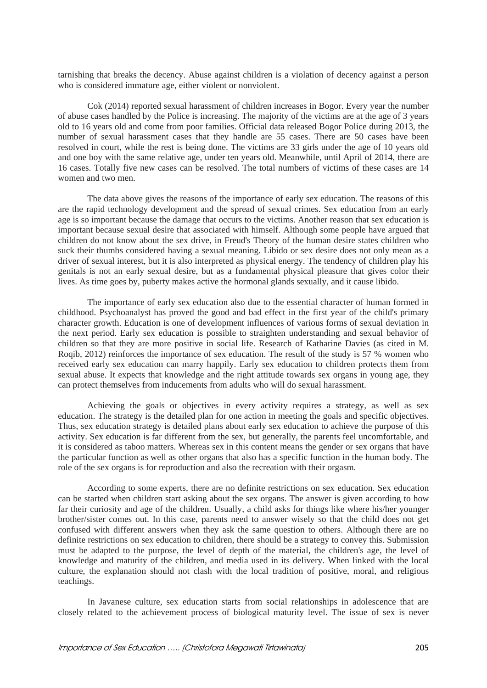tarnishing that breaks the decency. Abuse against children is a violation of decency against a person who is considered immature age, either violent or nonviolent.

Cok (2014) reported sexual harassment of children increases in Bogor. Every year the number of abuse cases handled by the Police is increasing. The majority of the victims are at the age of 3 years old to 16 years old and come from poor families. Official data released Bogor Police during 2013, the number of sexual harassment cases that they handle are 55 cases. There are 50 cases have been resolved in court, while the rest is being done. The victims are 33 girls under the age of 10 years old and one boy with the same relative age, under ten years old. Meanwhile, until April of 2014, there are 16 cases. Totally five new cases can be resolved. The total numbers of victims of these cases are 14 women and two men.

The data above gives the reasons of the importance of early sex education. The reasons of this are the rapid technology development and the spread of sexual crimes. Sex education from an early age is so important because the damage that occurs to the victims. Another reason that sex education is important because sexual desire that associated with himself. Although some people have argued that children do not know about the sex drive, in Freud's Theory of the human desire states children who suck their thumbs considered having a sexual meaning. Libido or sex desire does not only mean as a driver of sexual interest, but it is also interpreted as physical energy. The tendency of children play his genitals is not an early sexual desire, but as a fundamental physical pleasure that gives color their lives. As time goes by, puberty makes active the hormonal glands sexually, and it cause libido.

The importance of early sex education also due to the essential character of human formed in childhood. Psychoanalyst has proved the good and bad effect in the first year of the child's primary character growth. Education is one of development influences of various forms of sexual deviation in the next period. Early sex education is possible to straighten understanding and sexual behavior of children so that they are more positive in social life. Research of Katharine Davies (as cited in M. Roqib, 2012) reinforces the importance of sex education. The result of the study is 57 % women who received early sex education can marry happily. Early sex education to children protects them from sexual abuse. It expects that knowledge and the right attitude towards sex organs in young age, they can protect themselves from inducements from adults who will do sexual harassment.

Achieving the goals or objectives in every activity requires a strategy, as well as sex education. The strategy is the detailed plan for one action in meeting the goals and specific objectives. Thus, sex education strategy is detailed plans about early sex education to achieve the purpose of this activity. Sex education is far different from the sex, but generally, the parents feel uncomfortable, and it is considered as taboo matters. Whereas sex in this content means the gender or sex organs that have the particular function as well as other organs that also has a specific function in the human body. The role of the sex organs is for reproduction and also the recreation with their orgasm.

According to some experts, there are no definite restrictions on sex education. Sex education can be started when children start asking about the sex organs. The answer is given according to how far their curiosity and age of the children. Usually, a child asks for things like where his/her younger brother/sister comes out. In this case, parents need to answer wisely so that the child does not get confused with different answers when they ask the same question to others. Although there are no definite restrictions on sex education to children, there should be a strategy to convey this. Submission must be adapted to the purpose, the level of depth of the material, the children's age, the level of knowledge and maturity of the children, and media used in its delivery. When linked with the local culture, the explanation should not clash with the local tradition of positive, moral, and religious teachings.

In Javanese culture, sex education starts from social relationships in adolescence that are closely related to the achievement process of biological maturity level. The issue of sex is never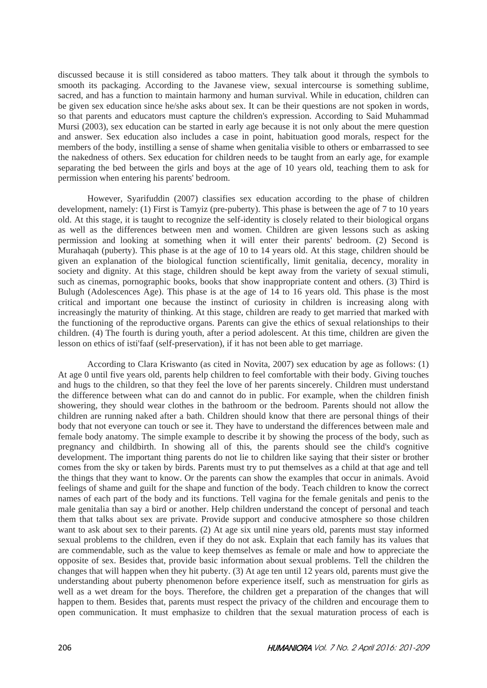discussed because it is still considered as taboo matters. They talk about it through the symbols to smooth its packaging. According to the Javanese view, sexual intercourse is something sublime, sacred, and has a function to maintain harmony and human survival. While in education, children can be given sex education since he/she asks about sex. It can be their questions are not spoken in words, so that parents and educators must capture the children's expression. According to Said Muhammad Mursi (2003), sex education can be started in early age because it is not only about the mere question and answer. Sex education also includes a case in point, habituation good morals, respect for the members of the body, instilling a sense of shame when genitalia visible to others or embarrassed to see the nakedness of others. Sex education for children needs to be taught from an early age, for example separating the bed between the girls and boys at the age of 10 years old, teaching them to ask for permission when entering his parents' bedroom.

However, Syarifuddin (2007) classifies sex education according to the phase of children development, namely: (1) First is Tamyiz (pre-puberty). This phase is between the age of 7 to 10 years old. At this stage, it is taught to recognize the self-identity is closely related to their biological organs as well as the differences between men and women. Children are given lessons such as asking permission and looking at something when it will enter their parents' bedroom. (2) Second is Murahaqah (puberty). This phase is at the age of 10 to 14 years old. At this stage, children should be given an explanation of the biological function scientifically, limit genitalia, decency, morality in society and dignity. At this stage, children should be kept away from the variety of sexual stimuli, such as cinemas, pornographic books, books that show inappropriate content and others. (3) Third is Bulugh (Adolescences Age). This phase is at the age of 14 to 16 years old. This phase is the most critical and important one because the instinct of curiosity in children is increasing along with increasingly the maturity of thinking. At this stage, children are ready to get married that marked with the functioning of the reproductive organs. Parents can give the ethics of sexual relationships to their children. (4) The fourth is during youth, after a period adolescent. At this time, children are given the lesson on ethics of isti'faaf (self-preservation), if it has not been able to get marriage.

According to Clara Kriswanto (as cited in Novita, 2007) sex education by age as follows: (1) At age 0 until five years old, parents help children to feel comfortable with their body. Giving touches and hugs to the children, so that they feel the love of her parents sincerely. Children must understand the difference between what can do and cannot do in public. For example, when the children finish showering, they should wear clothes in the bathroom or the bedroom. Parents should not allow the children are running naked after a bath. Children should know that there are personal things of their body that not everyone can touch or see it. They have to understand the differences between male and female body anatomy. The simple example to describe it by showing the process of the body, such as pregnancy and childbirth. In showing all of this, the parents should see the child's cognitive development. The important thing parents do not lie to children like saying that their sister or brother comes from the sky or taken by birds. Parents must try to put themselves as a child at that age and tell the things that they want to know. Or the parents can show the examples that occur in animals. Avoid feelings of shame and guilt for the shape and function of the body. Teach children to know the correct names of each part of the body and its functions. Tell vagina for the female genitals and penis to the male genitalia than say a bird or another. Help children understand the concept of personal and teach them that talks about sex are private. Provide support and conducive atmosphere so those children want to ask about sex to their parents. (2) At age six until nine years old, parents must stay informed sexual problems to the children, even if they do not ask. Explain that each family has its values that are commendable, such as the value to keep themselves as female or male and how to appreciate the opposite of sex. Besides that, provide basic information about sexual problems. Tell the children the changes that will happen when they hit puberty. (3) At age ten until 12 years old, parents must give the understanding about puberty phenomenon before experience itself, such as menstruation for girls as well as a wet dream for the boys. Therefore, the children get a preparation of the changes that will happen to them. Besides that, parents must respect the privacy of the children and encourage them to open communication. It must emphasize to children that the sexual maturation process of each is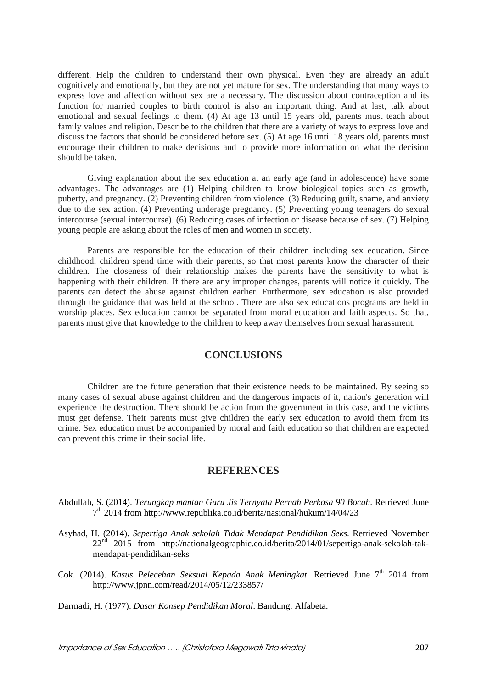different. Help the children to understand their own physical. Even they are already an adult cognitively and emotionally, but they are not yet mature for sex. The understanding that many ways to express love and affection without sex are a necessary. The discussion about contraception and its function for married couples to birth control is also an important thing. And at last, talk about emotional and sexual feelings to them. (4) At age 13 until 15 years old, parents must teach about family values and religion. Describe to the children that there are a variety of ways to express love and discuss the factors that should be considered before sex. (5) At age 16 until 18 years old, parents must encourage their children to make decisions and to provide more information on what the decision should be taken.

Giving explanation about the sex education at an early age (and in adolescence) have some advantages. The advantages are (1) Helping children to know biological topics such as growth, puberty, and pregnancy. (2) Preventing children from violence. (3) Reducing guilt, shame, and anxiety due to the sex action. (4) Preventing underage pregnancy. (5) Preventing young teenagers do sexual intercourse (sexual intercourse). (6) Reducing cases of infection or disease because of sex. (7) Helping young people are asking about the roles of men and women in society.

Parents are responsible for the education of their children including sex education. Since childhood, children spend time with their parents, so that most parents know the character of their children. The closeness of their relationship makes the parents have the sensitivity to what is happening with their children. If there are any improper changes, parents will notice it quickly. The parents can detect the abuse against children earlier. Furthermore, sex education is also provided through the guidance that was held at the school. There are also sex educations programs are held in worship places. Sex education cannot be separated from moral education and faith aspects. So that, parents must give that knowledge to the children to keep away themselves from sexual harassment.

# **CONCLUSIONS**

Children are the future generation that their existence needs to be maintained. By seeing so many cases of sexual abuse against children and the dangerous impacts of it, nation's generation will experience the destruction. There should be action from the government in this case, and the victims must get defense. Their parents must give children the early sex education to avoid them from its crime. Sex education must be accompanied by moral and faith education so that children are expected can prevent this crime in their social life.

#### **REFERENCES**

- Abdullah, S. (2014). *Terungkap mantan Guru Jis Ternyata Pernah Perkosa 90 Bocah*. Retrieved June  $7<sup>th</sup>$  2014 from http://www.republika.co.id/berita/nasional/hukum/14/04/23
- Asyhad, H. (2014). *Sepertiga Anak sekolah Tidak Mendapat Pendidikan Seks*. Retrieved November 22nd 2015 from http://nationalgeographic.co.id/berita/2014/01/sepertiga-anak-sekolah-takmendapat-pendidikan-seks
- Cok. (2014). *Kasus Pelecehan Seksual Kepada Anak Meningkat*. Retrieved June 7<sup>th</sup> 2014 from http://www.jpnn.com/read/2014/05/12/233857/

Darmadi, H. (1977). *Dasar Konsep Pendidikan Moral*. Bandung: Alfabeta.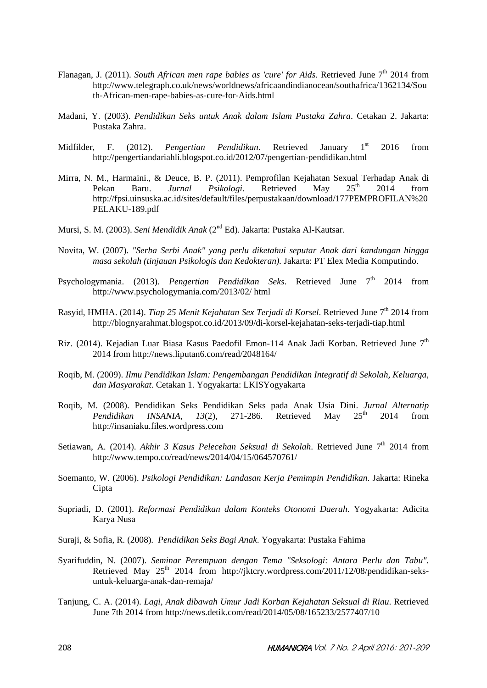- Flanagan, J. (2011). *South African men rape babies as 'cure' for Aids*. Retrieved June 7<sup>th</sup> 2014 from http://www.telegraph.co.uk/news/worldnews/africaandindianocean/southafrica/1362134/Sou th-African-men-rape-babies-as-cure-for-Aids.html
- Madani, Y. (2003). *Pendidikan Seks untuk Anak dalam Islam Pustaka Zahra*. Cetakan 2. Jakarta: Pustaka Zahra.
- Midfilder, F. (2012). *Pengertian Pendidikan*. Retrieved January 1<sup>st</sup> 2016 from http://pengertiandariahli.blogspot.co.id/2012/07/pengertian-pendidikan.html
- Mirra, N. M., Harmaini., & Deuce, B. P. (2011). Pemprofilan Kejahatan Sexual Terhadap Anak di Pekan Baru. *Jurnal Psikologi*. Retrieved May 25<sup>th</sup> 2014 from http://fpsi.uinsuska.ac.id/sites/default/files/perpustakaan/download/177PEMPROFILAN%20 PELAKU-189.pdf
- Mursi, S. M. (2003). *Seni Mendidik Anak* (2nd Ed). Jakarta: Pustaka Al-Kautsar.
- Novita, W. (2007)*. "Serba Serbi Anak" yang perlu diketahui seputar Anak dari kandungan hingga masa sekolah (tinjauan Psikologis dan Kedokteran).* Jakarta: PT Elex Media Komputindo.
- Psychologymania. (2013). *Pengertian Pendidikan Seks*. Retrieved June 7<sup>th</sup> 2014 from http://www.psychologymania.com/2013/02/ html
- Rasyid, HMHA. (2014). *Tiap 25 Menit Kejahatan Sex Terjadi di Korsel*. Retrieved June 7<sup>th</sup> 2014 from http://blognyarahmat.blogspot.co.id/2013/09/di-korsel-kejahatan-seks-terjadi-tiap.html
- Riz. (2014). Kejadian Luar Biasa Kasus Paedofil Emon-114 Anak Jadi Korban. Retrieved June 7<sup>th</sup> 2014 from http://news.liputan6.com/read/2048164/
- Roqib, M. (2009). *Ilmu Pendidikan Islam: Pengembangan Pendidikan Integratif di Sekolah, Keluarga, dan Masyarakat*. Cetakan 1. Yogyakarta: LKISYogyakarta
- Roqib, M. (2008). Pendidikan Seks Pendidikan Seks pada Anak Usia Dini. *Jurnal Alternatip Pendidikan INSANIA, 13(2), 271-286.* Retrieved May 25<sup>th</sup> 2014 from http://insaniaku.files.wordpress.com
- Setiawan, A. (2014). *Akhir 3 Kasus Pelecehan Seksual di Sekolah*. Retrieved June 7<sup>th</sup> 2014 from http://www.tempo.co/read/news/2014/04/15/064570761/
- Soemanto, W. (2006). *Psikologi Pendidikan: Landasan Kerja Pemimpin Pendidikan*. Jakarta: Rineka **Cipta**
- Supriadi, D. (2001). *Reformasi Pendidikan dalam Konteks Otonomi Daerah*. Yogyakarta: Adicita Karya Nusa
- Suraji, & Sofia, R. (2008). *Pendidikan Seks Bagi Anak*. Yogyakarta: Pustaka Fahima
- Syarifuddin, N. (2007). *Seminar Perempuan dengan Tema "Seksologi: Antara Perlu dan Tabu".* Retrieved May  $25<sup>th</sup>$  2014 from http://jktcry.wordpress.com/2011/12/08/pendidikan-seksuntuk-keluarga-anak-dan-remaja/
- Tanjung, C. A. (2014). *Lagi, Anak dibawah Umur Jadi Korban Kejahatan Seksual di Riau*. Retrieved June 7th 2014 from http://news.detik.com/read/2014/05/08/165233/2577407/10